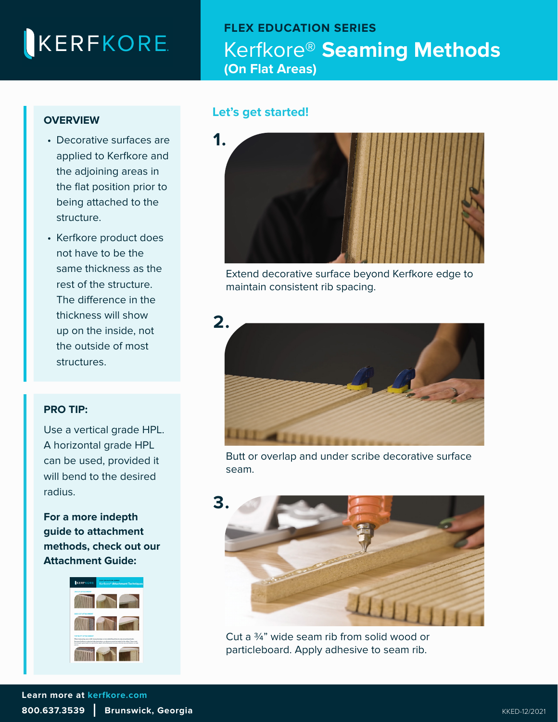# KERFKORE

## **FLEX EDUCATION SERIES**  Kerfkore® **Seaming Methods (On Flat Areas)**

### **OVERVIEW**

- Decorative surfaces are applied to Kerfkore and the adjoining areas in the flat position prior to being attached to the structure.
- Kerfkore product does not have to be the same thickness as the rest of the structure. The difference in the thickness will show up on the inside, not the outside of most structures.

#### **PRO TIP:**

[Use a vertical grade HPL.](https://kerfkore.com/wp-content/uploads/2022/01/Kerfkore-Attachment-Techniques-Guide.pdf)  A horizontal grade HPL can be used, provided it will bend to the desired radius.

**For a more indepth guide to attachment [methods, check out our](https://kerfkore.com/wp-content/uploads/2022/01/Kerfkore-Attachment-Techniques-Guide.pdf)  Attachment Guide:**



### **Let's get started!**



Extend decorative surface beyond Kerfkore edge to maintain consistent rib spacing.



Butt or overlap and under scribe decorative surface seam.



Cut a ¾" wide seam rib from solid wood or particleboard. Apply adhesive to seam rib.